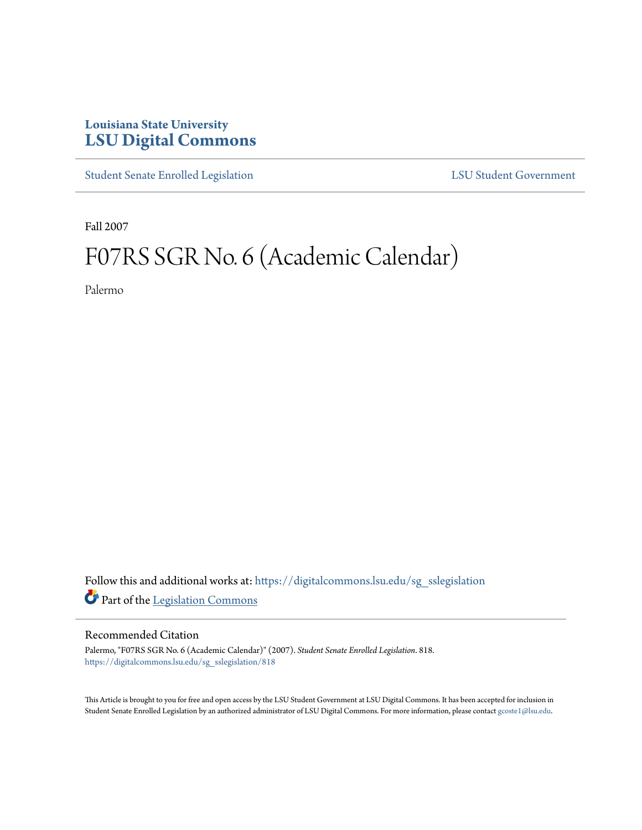## **Louisiana State University [LSU Digital Commons](https://digitalcommons.lsu.edu?utm_source=digitalcommons.lsu.edu%2Fsg_sslegislation%2F818&utm_medium=PDF&utm_campaign=PDFCoverPages)**

[Student Senate Enrolled Legislation](https://digitalcommons.lsu.edu/sg_sslegislation?utm_source=digitalcommons.lsu.edu%2Fsg_sslegislation%2F818&utm_medium=PDF&utm_campaign=PDFCoverPages) [LSU Student Government](https://digitalcommons.lsu.edu/sg?utm_source=digitalcommons.lsu.edu%2Fsg_sslegislation%2F818&utm_medium=PDF&utm_campaign=PDFCoverPages)

Fall 2007

## F07RS SGR No. 6 (Academic Calendar)

Palermo

Follow this and additional works at: [https://digitalcommons.lsu.edu/sg\\_sslegislation](https://digitalcommons.lsu.edu/sg_sslegislation?utm_source=digitalcommons.lsu.edu%2Fsg_sslegislation%2F818&utm_medium=PDF&utm_campaign=PDFCoverPages) Part of the [Legislation Commons](http://network.bepress.com/hgg/discipline/859?utm_source=digitalcommons.lsu.edu%2Fsg_sslegislation%2F818&utm_medium=PDF&utm_campaign=PDFCoverPages)

## Recommended Citation

Palermo, "F07RS SGR No. 6 (Academic Calendar)" (2007). *Student Senate Enrolled Legislation*. 818. [https://digitalcommons.lsu.edu/sg\\_sslegislation/818](https://digitalcommons.lsu.edu/sg_sslegislation/818?utm_source=digitalcommons.lsu.edu%2Fsg_sslegislation%2F818&utm_medium=PDF&utm_campaign=PDFCoverPages)

This Article is brought to you for free and open access by the LSU Student Government at LSU Digital Commons. It has been accepted for inclusion in Student Senate Enrolled Legislation by an authorized administrator of LSU Digital Commons. For more information, please contact [gcoste1@lsu.edu.](mailto:gcoste1@lsu.edu)